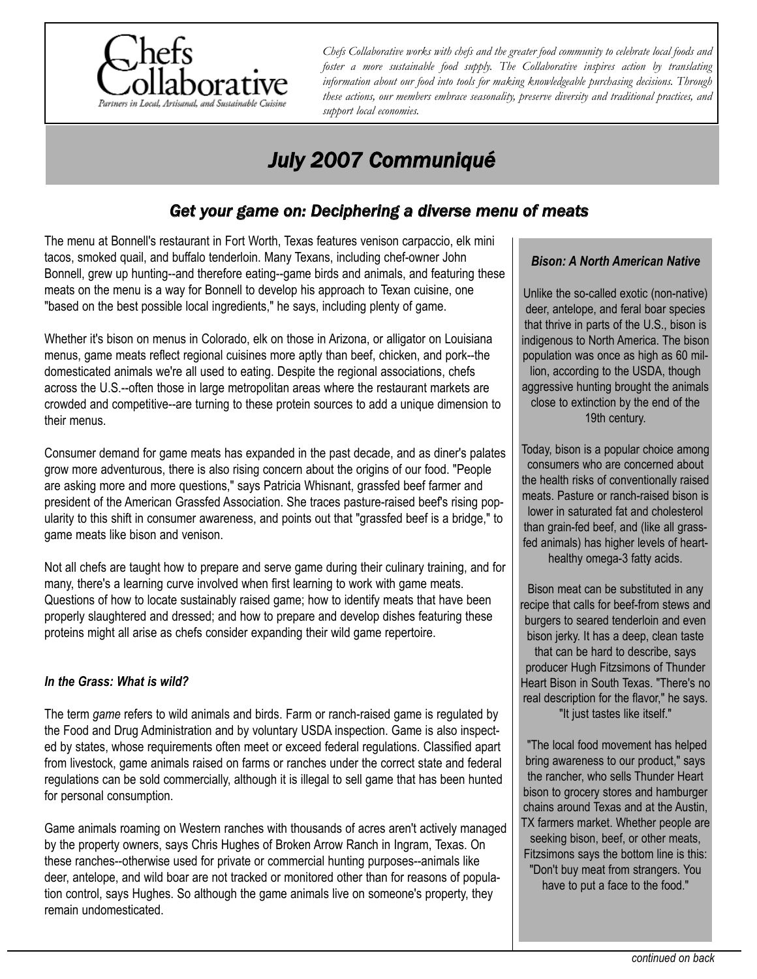

*Chefs Collaborative works with chefs and the greater food community to celebrate local foods and foster a more sustainable food supply. The Collaborative inspires action by translating information about our food into tools for making knowledgeable purchasing decisions. Through these actions, our members embrace seasonality, preserve diversity and traditional practices, and support local economies.*

# *July 2007 Communiqué*

## *Get your game on: Deciphering a diverse menu of meats*

The menu at Bonnell's restaurant in Fort Worth, Texas features venison carpaccio, elk mini tacos, smoked quail, and buffalo tenderloin. Many Texans, including chef-owner John Bonnell, grew up hunting--and therefore eating--game birds and animals, and featuring these meats on the menu is a way for Bonnell to develop his approach to Texan cuisine, one "based on the best possible local ingredients," he says, including plenty of game.

Whether it's bison on menus in Colorado, elk on those in Arizona, or alligator on Louisiana menus, game meats reflect regional cuisines more aptly than beef, chicken, and pork--the domesticated animals we're all used to eating. Despite the regional associations, chefs across the U.S.--often those in large metropolitan areas where the restaurant markets are crowded and competitive--are turning to these protein sources to add a unique dimension to their menus.

Consumer demand for game meats has expanded in the past decade, and as diner's palates grow more adventurous, there is also rising concern about the origins of our food. "People are asking more and more questions," says Patricia Whisnant, grassfed beef farmer and president of the American Grassfed Association. She traces pasture-raised beef's rising popularity to this shift in consumer awareness, and points out that "grassfed beef is a bridge," to game meats like bison and venison.

Not all chefs are taught how to prepare and serve game during their culinary training, and for many, there's a learning curve involved when first learning to work with game meats. Questions of how to locate sustainably raised game; how to identify meats that have been properly slaughtered and dressed; and how to prepare and develop dishes featuring these proteins might all arise as chefs consider expanding their wild game repertoire.

## *In the Grass: What is wild?*

The term *game* refers to wild animals and birds. Farm or ranch-raised game is regulated by the Food and Drug Administration and by voluntary USDA inspection. Game is also inspected by states, whose requirements often meet or exceed federal regulations. Classified apart from livestock, game animals raised on farms or ranches under the correct state and federal regulations can be sold commercially, although it is illegal to sell game that has been hunted for personal consumption.

Game animals roaming on Western ranches with thousands of acres aren't actively managed by the property owners, says Chris Hughes of Broken Arrow Ranch in Ingram, Texas. On these ranches--otherwise used for private or commercial hunting purposes--animals like deer, antelope, and wild boar are not tracked or monitored other than for reasons of population control, says Hughes. So although the game animals live on someone's property, they remain undomesticated.

## *Bison: A North American Native*

Unlike the so-called exotic (non-native) deer, antelope, and feral boar species that thrive in parts of the U.S., bison is indigenous to North America. The bison population was once as high as 60 million, according to the USDA, though aggressive hunting brought the animals close to extinction by the end of the 19th century.

Today, bison is a popular choice among consumers who are concerned about the health risks of conventionally raised meats. Pasture or ranch-raised bison is lower in saturated fat and cholesterol than grain-fed beef, and (like all grassfed animals) has higher levels of hearthealthy omega-3 fatty acids.

Bison meat can be substituted in any recipe that calls for beef-from stews and burgers to seared tenderloin and even bison jerky. It has a deep, clean taste that can be hard to describe, says producer Hugh Fitzsimons of Thunder Heart Bison in South Texas. "There's no real description for the flavor," he says. "It just tastes like itself."

"The local food movement has helped bring awareness to our product," says the rancher, who sells Thunder Heart bison to grocery stores and hamburger chains around Texas and at the Austin, TX farmers market. Whether people are seeking bison, beef, or other meats, Fitzsimons says the bottom line is this: "Don't buy meat from strangers. You have to put a face to the food."